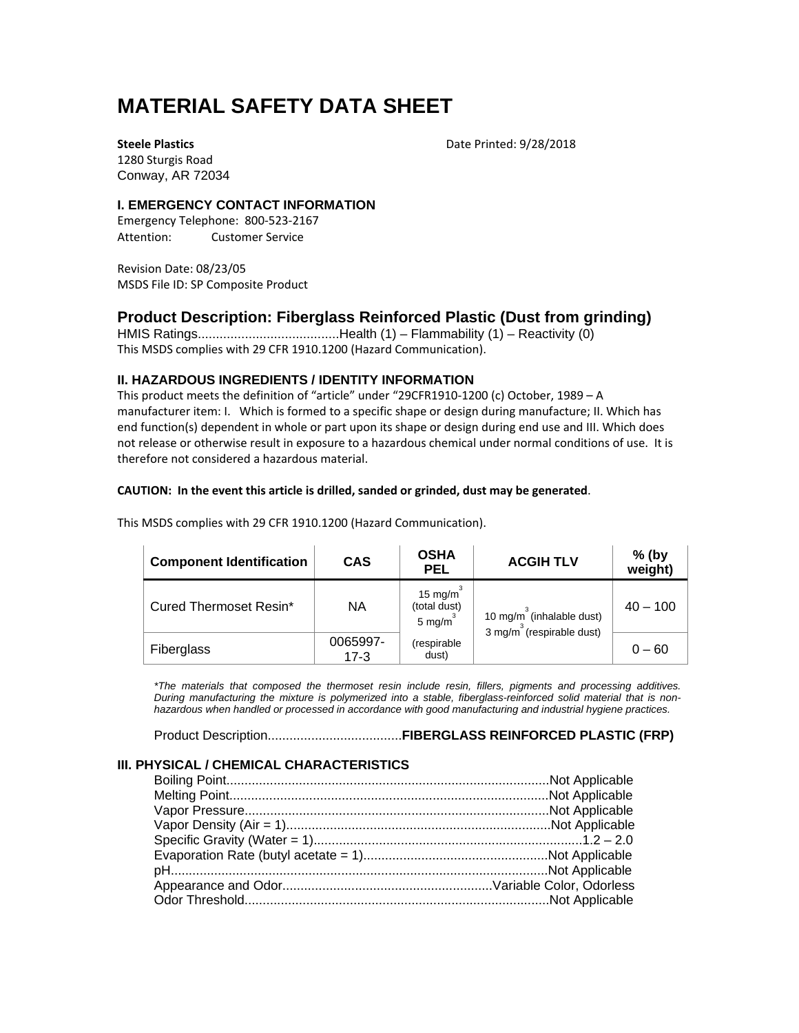# **MATERIAL SAFETY DATA SHEET**

**Steele Plastics** Date Printed: 9/28/2018

1280 Sturgis Road Conway, AR 72034

# **I. EMERGENCY CONTACT INFORMATION**

Emergency Telephone: 800‐523‐2167 Attention: Customer Service

Revision Date: 08/23/05 MSDS File ID: SP Composite Product

# **Product Description: Fiberglass Reinforced Plastic (Dust from grinding)**

HMIS Ratings.......................................Health (1) – Flammability (1) – Reactivity (0) This MSDS complies with 29 CFR 1910.1200 (Hazard Communication).

# **II. HAZARDOUS INGREDIENTS / IDENTITY INFORMATION**

This product meets the definition of "article" under "29CFR1910‐1200 (c) October, 1989 – A manufacturer item: I. Which is formed to a specific shape or design during manufacture; II. Which has end function(s) dependent in whole or part upon its shape or design during end use and III. Which does not release or otherwise result in exposure to a hazardous chemical under normal conditions of use. It is therefore not considered a hazardous material.

## **CAUTION: In the event this article is drilled, sanded or grinded, dust may be generated**.

| <b>Component Identification</b> | <b>CAS</b>       | <b>OSHA</b><br><b>PEL</b>                                                                                          | <b>ACGIH TLV</b> | $%$ (by<br>weight) |
|---------------------------------|------------------|--------------------------------------------------------------------------------------------------------------------|------------------|--------------------|
| Cured Thermoset Resin*          | <b>NA</b>        | 15 mg/m $3$<br>(total dust)<br>10 mg/m $3$ (inhalable dust)<br>5 mg/m <sup>3</sup><br>3 mg/m $3$ (respirable dust) | $40 - 100$       |                    |
| Fiberglass                      | 0065997-<br>17-3 | (respirable<br>dust)                                                                                               |                  | $0 - 60$           |

This MSDS complies with 29 CFR 1910.1200 (Hazard Communication).

*\*The materials that composed the thermoset resin include resin, fillers, pigments and processing additives. During manufacturing the mixture is polymerized into a stable, fiberglass-reinforced solid material that is nonhazardous when handled or processed in accordance with good manufacturing and industrial hygiene practices.* 

Product Description.....................................**FIBERGLASS REINFORCED PLASTIC (FRP)** 

# **III. PHYSICAL / CHEMICAL CHARACTERISTICS**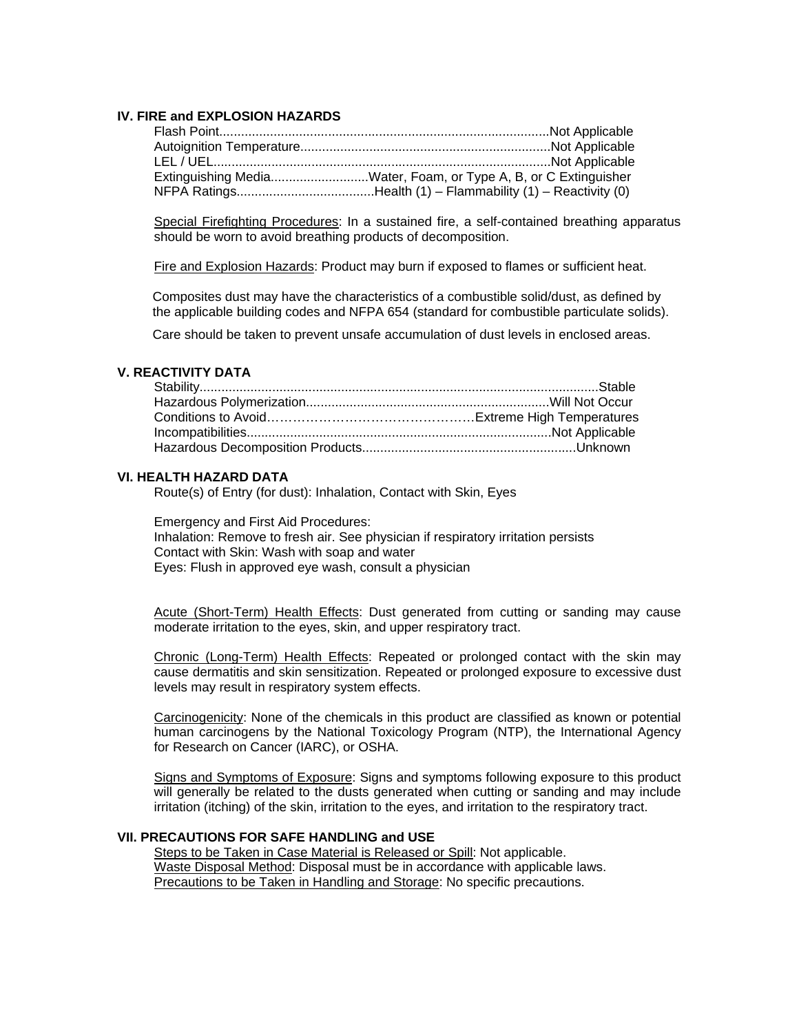## **IV. FIRE and EXPLOSION HAZARDS**

| Extinguishing MediaWater, Foam, or Type A, B, or C Extinguisher |
|-----------------------------------------------------------------|
| NFPA RatingsHealth (1) - Flammability (1) - Reactivity (0)      |

Special Firefighting Procedures: In a sustained fire, a self-contained breathing apparatus should be worn to avoid breathing products of decomposition.

Fire and Explosion Hazards: Product may burn if exposed to flames or sufficient heat.

Composites dust may have the characteristics of a combustible solid/dust, as defined by the applicable building codes and NFPA 654 (standard for combustible particulate solids).

Care should be taken to prevent unsafe accumulation of dust levels in enclosed areas.

#### **V. REACTIVITY DATA**

#### **VI. HEALTH HAZARD DATA**

Route(s) of Entry (for dust): Inhalation, Contact with Skin, Eyes

Emergency and First Aid Procedures: Inhalation: Remove to fresh air. See physician if respiratory irritation persists Contact with Skin: Wash with soap and water Eyes: Flush in approved eye wash, consult a physician

Acute (Short-Term) Health Effects: Dust generated from cutting or sanding may cause moderate irritation to the eyes, skin, and upper respiratory tract.

Chronic (Long-Term) Health Effects: Repeated or prolonged contact with the skin may cause dermatitis and skin sensitization. Repeated or prolonged exposure to excessive dust levels may result in respiratory system effects.

Carcinogenicity: None of the chemicals in this product are classified as known or potential human carcinogens by the National Toxicology Program (NTP), the International Agency for Research on Cancer (IARC), or OSHA.

Signs and Symptoms of Exposure: Signs and symptoms following exposure to this product will generally be related to the dusts generated when cutting or sanding and may include irritation (itching) of the skin, irritation to the eyes, and irritation to the respiratory tract.

#### **VII. PRECAUTIONS FOR SAFE HANDLING and USE**

Steps to be Taken in Case Material is Released or Spill: Not applicable. Waste Disposal Method: Disposal must be in accordance with applicable laws. Precautions to be Taken in Handling and Storage: No specific precautions.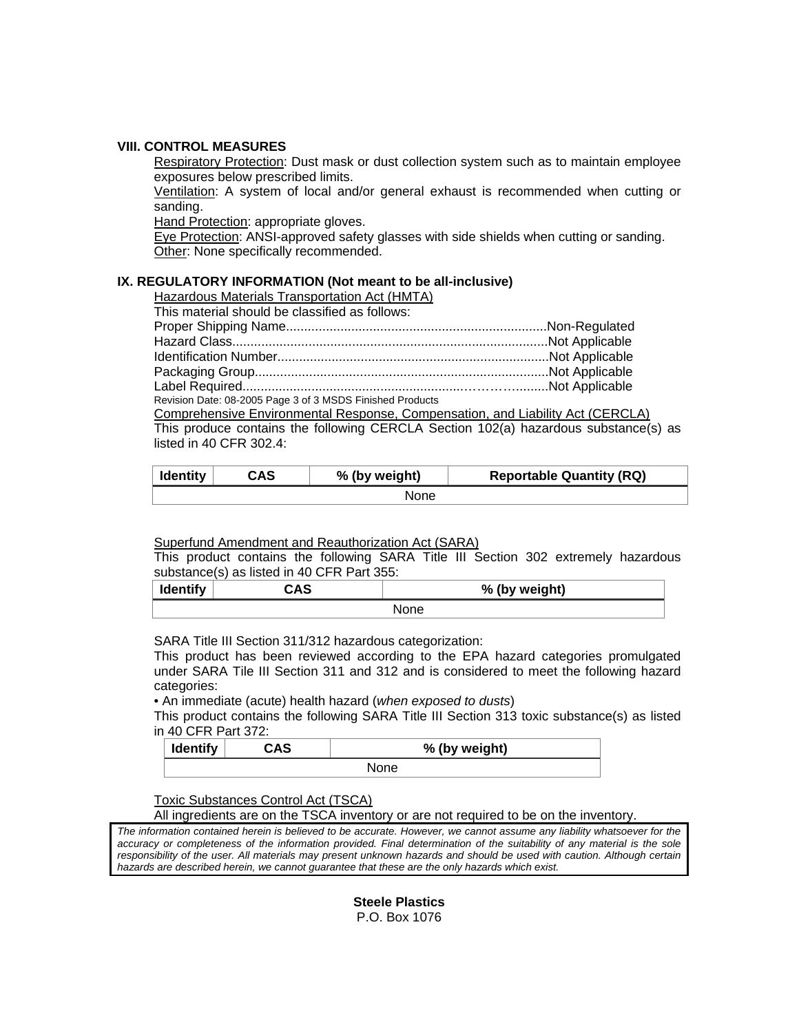#### **VIII. CONTROL MEASURES**

Respiratory Protection: Dust mask or dust collection system such as to maintain employee exposures below prescribed limits.

Ventilation: A system of local and/or general exhaust is recommended when cutting or sanding.

Hand Protection: appropriate gloves.

Eye Protection: ANSI-approved safety glasses with side shields when cutting or sanding. Other: None specifically recommended.

# **IX. REGULATORY INFORMATION (Not meant to be all-inclusive)**

Hazardous Materials Transportation Act (HMTA)

| This material should be classified as follows: |
|------------------------------------------------|
|------------------------------------------------|

| Revision Date: 08-2005 Page 3 of 3 MSDS Finished Products |  |
|-----------------------------------------------------------|--|

Comprehensive Environmental Response, Compensation, and Liability Act (CERCLA) This produce contains the following CERCLA Section 102(a) hazardous substance(s) as listed in 40 CFR 302.4:

| <b>Identity</b> | CAS<br>% (by weight) |  | <b>Reportable Quantity (RQ)</b> |
|-----------------|----------------------|--|---------------------------------|
| <b>None</b>     |                      |  |                                 |

#### Superfund Amendment and Reauthorization Act (SARA)

This product contains the following SARA Title III Section 302 extremely hazardous substance(s) as listed in 40 CFR Part 355:

| <b>Identify</b> | r n c<br>5AJ | % (by weight) |
|-----------------|--------------|---------------|
| None            |              |               |

SARA Title III Section 311/312 hazardous categorization:

This product has been reviewed according to the EPA hazard categories promulgated under SARA Tile III Section 311 and 312 and is considered to meet the following hazard categories:

• An immediate (acute) health hazard (*when exposed to dusts*)

This product contains the following SARA Title III Section 313 toxic substance(s) as listed in 40 CFR Part 372:

| Identify | CAS | % (by weight) |  |
|----------|-----|---------------|--|
|          |     | <b>None</b>   |  |

# Toxic Substances Control Act (TSCA)

All ingredients are on the TSCA inventory or are not required to be on the inventory.

*The information contained herein is believed to be accurate. However, we cannot assume any liability whatsoever for the accuracy or completeness of the information provided. Final determination of the suitability of any material is the sole*  responsibility of the user. All materials may present unknown hazards and should be used with caution. Although certain *hazards are described herein, we cannot guarantee that these are the only hazards which exist.*